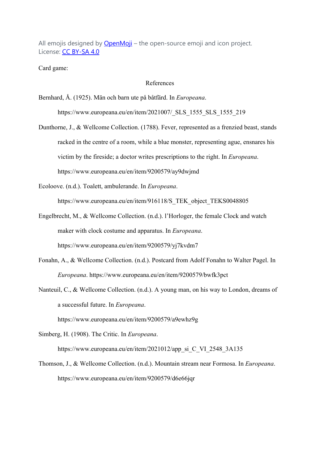All emojis designed by OpenMoji – the open-source emoji and icon project. License: CC BY-SA 4.0

Card game:

## References

Bernhard, Å. (1925). Män och barn ute på båtfärd. In *Europeana*.

https://www.europeana.eu/en/item/2021007/\_SLS\_1555\_SLS\_1555\_219

Dunthorne, J., & Wellcome Collection. (1788). Fever, represented as a frenzied beast, stands racked in the centre of a room, while a blue monster, representing ague, ensnares his victim by the fireside; a doctor writes prescriptions to the right. In *Europeana*. https://www.europeana.eu/en/item/9200579/ay9dwjmd

Ecoloove. (n.d.). Toalett, ambulerande. In *Europeana*.

https://www.europeana.eu/en/item/916118/S\_TEK\_object\_TEKS0048805

- Engelbrecht, M., & Wellcome Collection. (n.d.). l'Horloger, the female Clock and watch maker with clock costume and apparatus. In *Europeana*. https://www.europeana.eu/en/item/9200579/yj7kvdm7
- Fonahn, A., & Wellcome Collection. (n.d.). Postcard from Adolf Fonahn to Walter Pagel. In *Europeana*. https://www.europeana.eu/en/item/9200579/bwfk3pct
- Nanteuil, C., & Wellcome Collection. (n.d.). A young man, on his way to London, dreams of a successful future. In *Europeana*.

https://www.europeana.eu/en/item/9200579/a9ewhz9g

Simberg, H. (1908). The Critic. In *Europeana*.

https://www.europeana.eu/en/item/2021012/app\_si\_C\_VI\_2548\_3A135

Thomson, J., & Wellcome Collection. (n.d.). Mountain stream near Formosa. In *Europeana*. https://www.europeana.eu/en/item/9200579/d6e66jqr